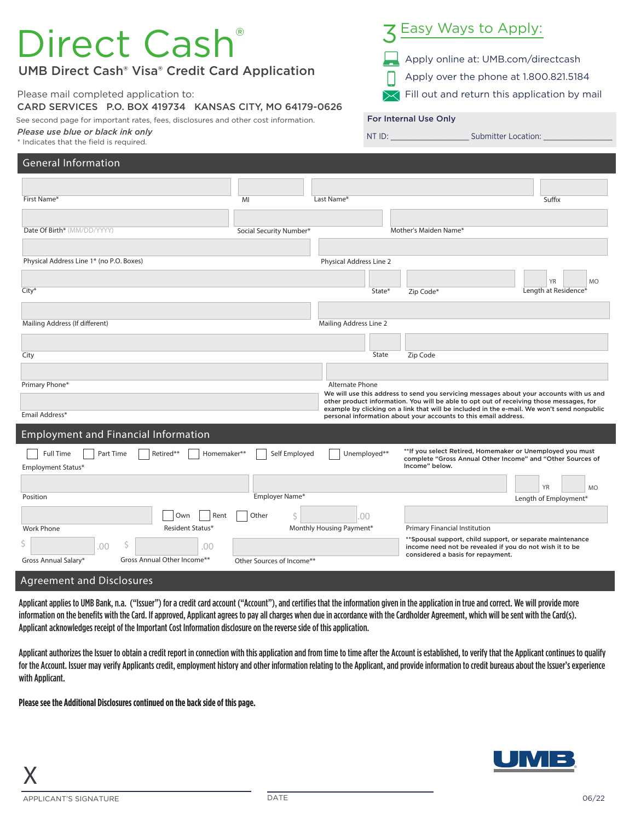## General Information Employment and Financial Information Date Of Birth\* (MM/DD/YYYY) First Name\* Physical Address Line 1\* (no P.O. Boxes) Length at Residence\* YR MO MI Last Name\* Sux Physical Address Line 2 City\* State\* Zip Code\* Mailing Address (If different) **Mailing Address Line 2** and Mailing Address Line 2 City **State** Zip Code Primary Phone\* Alternate Phone and The Primary Phone and The Phone and The Phone and The Phone and The Phone and The Phone and The Phone and The Phone and The Phone and The Phone and The Phone and The Phone and The Phone a Employment Status\* Full Time | | Part Time | | | Retired\*\* | | Homemaker\*\* | | Self Employed | | | Unemployed\*\* Position Gross Annual Salary\* Gross Annual Other Income\*\* Work Phone Length of Employment\* YR MO Primary Financial Institution Employer Name\* Monthly Housing Payment\*  $\vert$  5  $\vert$  .00 \$ .00 \$ .00 Other Sources of Income\*\* Social Security Number\* Mother's Maiden Name\* Email Address\* Resident Status\* Own Rent Other \*\*Spousal support, child support, or separate maintenance income need not be revealed if you do not wish it to be considered a basis for repayment. We will use this address to send you servicing messages about your accounts with us and other product information. You will be able to opt out of receiving those messages, for example by clicking on a link that will be included in the e-mail. We won't send nonpublic personal information about your accounts to this email address. \*\*If you select Retired, Homemaker or Unemployed you must complete "Gross Annual Other Income" and "Other Sources of Income" below. Direct Cash UMB Direct Cash® Visa® Credit Card Application Please mail completed application to: CARD SERVICES P.O. BOX 419734 KANSAS CITY, MO 64179-0626 See second page for important rates, fees, disclosures and other cost information. *Please use blue or black ink only* \* Indicates that the field is required. Apply online at: UMB.com/directcash Apply over the phone at 1.800.821.5184 Fill out and return this application by mail Easy Ways to Apply: For Internal Use Only NT ID: \_\_\_\_\_\_\_\_\_\_\_\_\_\_\_\_\_ Submitter Location: \_\_\_\_\_\_\_\_\_\_\_\_\_\_\_

Agreement and Disclosures

Applicant applies to UMB Bank, n.a. ("Issuer") for a credit card account ("Account"), and certifies that the information given in the application in true and correct. We will provide more information on the benefits with the Card. If approved, Applicant agrees to pay all charges when due in accordance with the Cardholder Agreement, which will be sent with the Card(s). Applicant acknowledges receipt of the Important Cost Information disclosure on the reverse side of this application.

Applicant authorizes the Issuer to obtain a credit report in connection with this application and from time to time after the Account is established, to verify that the Applicant continues to qualify for the Account. Issuer may verify Applicants credit, employment history and other information relating to the Applicant, and provide information to credit bureaus about the Issuer's experience with Applicant.

**Please see the Additional Disclosures continued on the back side of this page.**